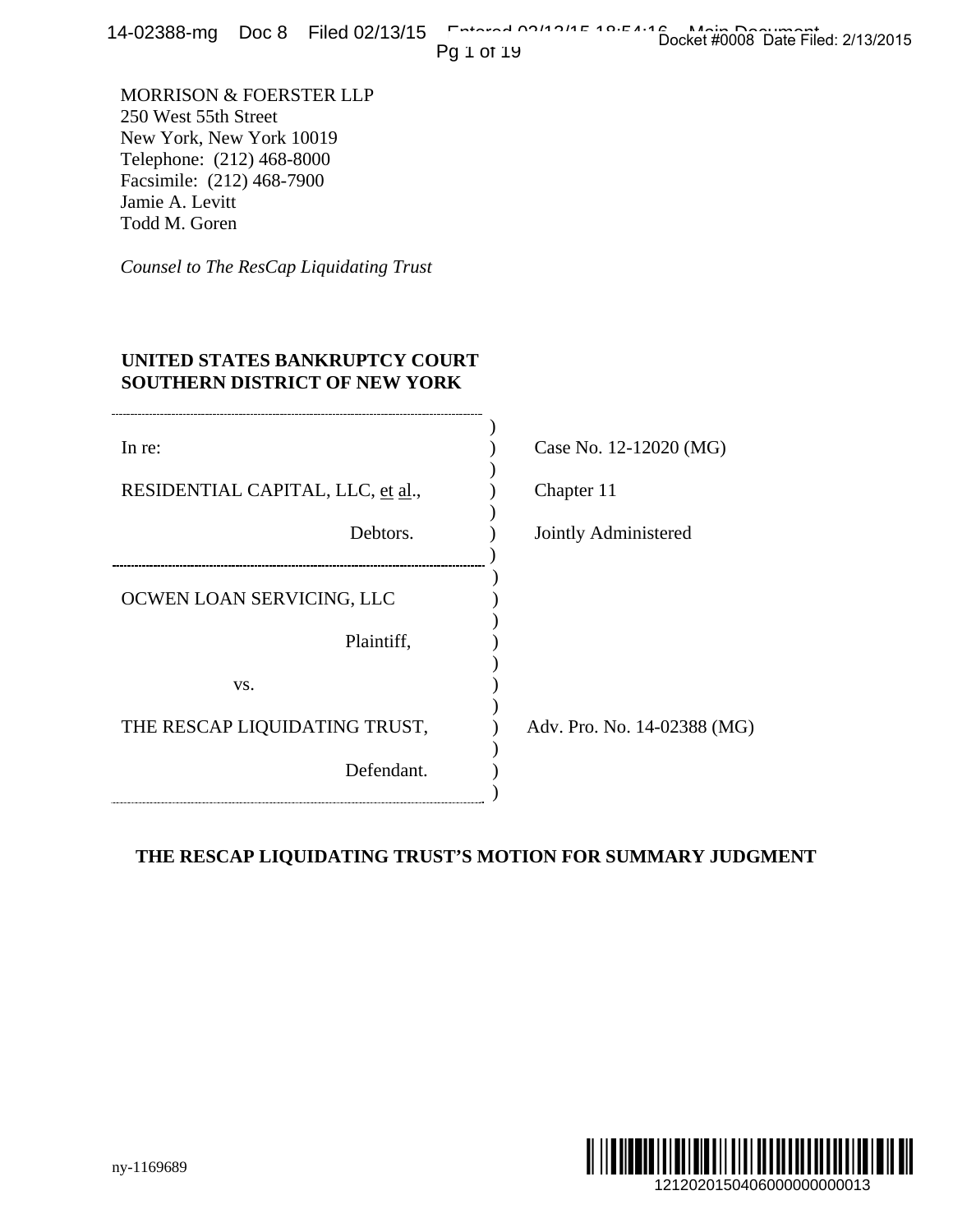14-02388-mg Doc 8 Filed 02/13/15 Entered 02/13/15 10:54:16 Main Docket #0008 Date Filed: 2/13/2015

## **UNITED STATES BANKRUPTCY COURT SOUTHERN DISTRICT OF NEW YORK**

| L4-02300-1119 DOC 0 FIIEQ 02/13/13                                                                                                                                        | Docket #0008 Date Filed: 2/13/2015<br>Pg 1 of 19           |
|---------------------------------------------------------------------------------------------------------------------------------------------------------------------------|------------------------------------------------------------|
| MORRISON & FOERSTER LLP<br>250 West 55th Street<br>New York, New York 10019<br>Telephone: (212) 468-8000<br>Facsimile: (212) 468-7900<br>Jamie A. Levitt<br>Todd M. Goren |                                                            |
| Counsel to The ResCap Liquidating Trust                                                                                                                                   |                                                            |
| UNITED STATES BANKRUPTCY COURT<br><b>SOUTHERN DISTRICT OF NEW YORK</b>                                                                                                    |                                                            |
| In re:                                                                                                                                                                    | Case No. 12-12020 (MG)                                     |
| RESIDENTIAL CAPITAL, LLC, et al.,                                                                                                                                         | Chapter 11                                                 |
| Debtors.                                                                                                                                                                  | Jointly Administered                                       |
| OCWEN LOAN SERVICING, LLC                                                                                                                                                 |                                                            |
| Plaintiff,                                                                                                                                                                |                                                            |
| VS.                                                                                                                                                                       |                                                            |
| THE RESCAP LIQUIDATING TRUST,                                                                                                                                             | Adv. Pro. No. 14-02388 (MG)                                |
| Defendant.                                                                                                                                                                |                                                            |
|                                                                                                                                                                           | THE RESCAP LIQUIDATING TRUST'S MOTION FOR SUMMARY JUDGMENT |
|                                                                                                                                                                           |                                                            |
|                                                                                                                                                                           |                                                            |
|                                                                                                                                                                           |                                                            |
|                                                                                                                                                                           |                                                            |
| ny-1169689                                                                                                                                                                | 1212020150406000000000013                                  |

# **THE RESCAP LIQUIDATING TRUST'S MOTION FOR SUMMARY JUDGMENT**

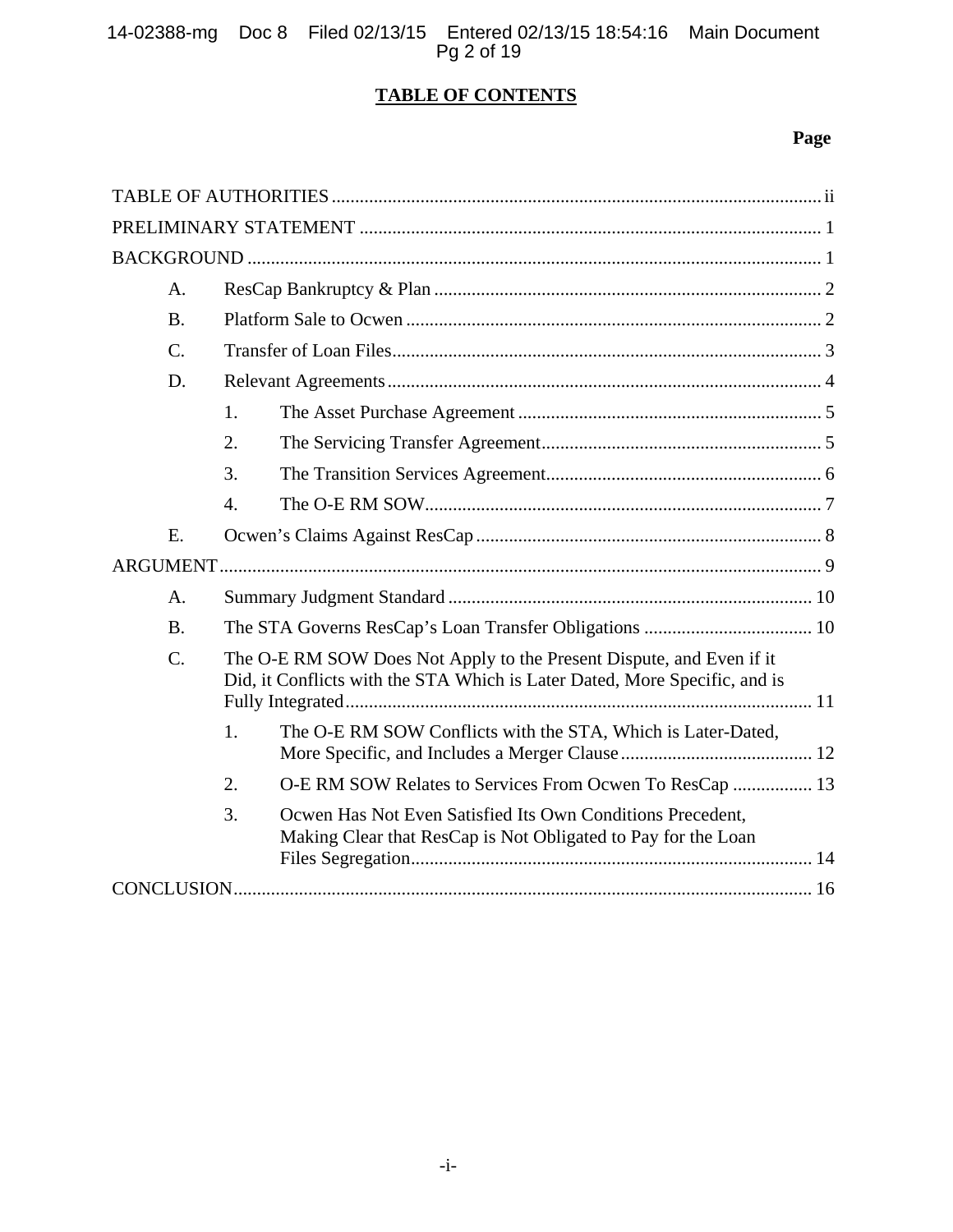14-02388-mg Doc 8 Filed 02/13/15 Entered 02/13/15 18:54:16 Main Document Pg 2 of 19

# **TABLE OF CONTENTS**

# **Page**

| A.              |                                                                                                                                                    |  |
|-----------------|----------------------------------------------------------------------------------------------------------------------------------------------------|--|
| <b>B.</b>       |                                                                                                                                                    |  |
| $C_{\cdot}$     |                                                                                                                                                    |  |
| D.              |                                                                                                                                                    |  |
|                 | 1.                                                                                                                                                 |  |
|                 | 2.                                                                                                                                                 |  |
|                 | 3.                                                                                                                                                 |  |
|                 | $\overline{4}$ .                                                                                                                                   |  |
| E.              |                                                                                                                                                    |  |
|                 |                                                                                                                                                    |  |
| А.              |                                                                                                                                                    |  |
| <b>B.</b>       |                                                                                                                                                    |  |
| $\mathcal{C}$ . | The O-E RM SOW Does Not Apply to the Present Dispute, and Even if it<br>Did, it Conflicts with the STA Which is Later Dated, More Specific, and is |  |
|                 | 1.<br>The O-E RM SOW Conflicts with the STA, Which is Later-Dated,                                                                                 |  |
|                 | 2.<br>O-E RM SOW Relates to Services From Ocwen To ResCap  13                                                                                      |  |
|                 | 3.<br>Ocwen Has Not Even Satisfied Its Own Conditions Precedent,<br>Making Clear that ResCap is Not Obligated to Pay for the Loan                  |  |
|                 |                                                                                                                                                    |  |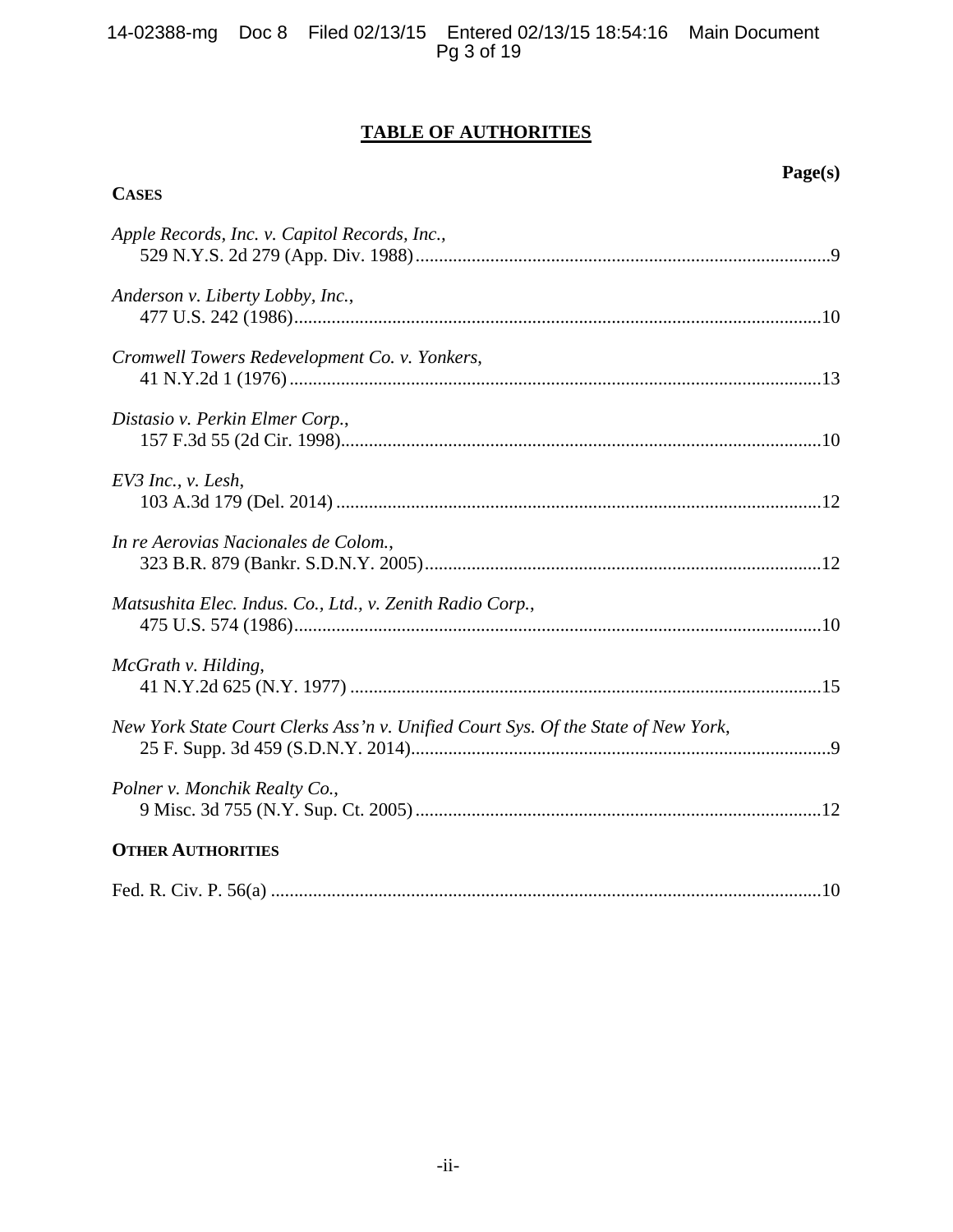# **TABLE OF AUTHORITIES**

**CASES**

| Apple Records, Inc. v. Capitol Records, Inc.,                                     |
|-----------------------------------------------------------------------------------|
| Anderson v. Liberty Lobby, Inc.,                                                  |
| Cromwell Towers Redevelopment Co. v. Yonkers,                                     |
| Distasio v. Perkin Elmer Corp.,                                                   |
| $EV3$ Inc., v. Lesh,                                                              |
| In re Aerovias Nacionales de Colom.,                                              |
| Matsushita Elec. Indus. Co., Ltd., v. Zenith Radio Corp.,                         |
| McGrath v. Hilding,                                                               |
| New York State Court Clerks Ass'n v. Unified Court Sys. Of the State of New York, |
| Polner v. Monchik Realty Co.,                                                     |
| <b>OTHER AUTHORITIES</b>                                                          |
|                                                                                   |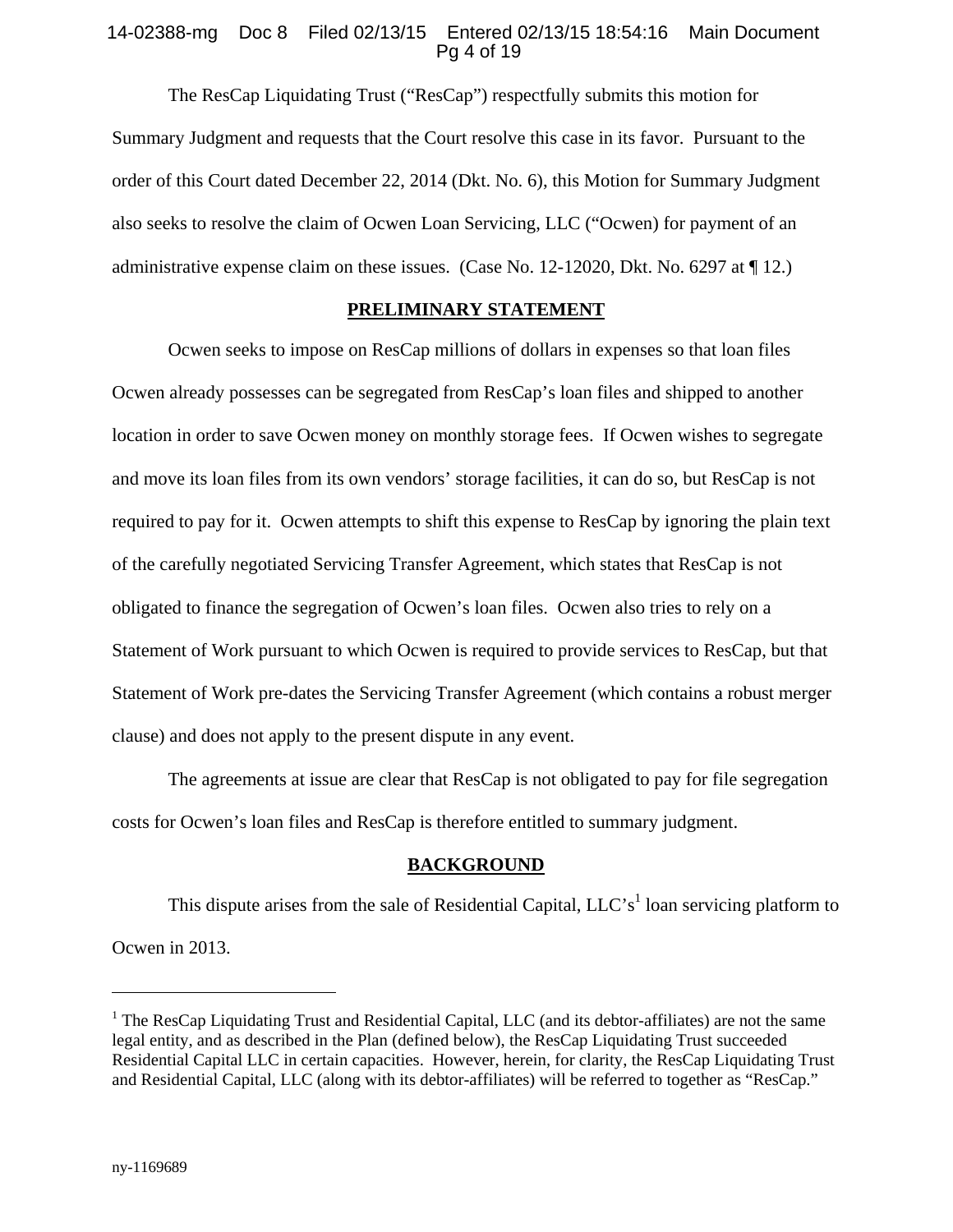## 14-02388-mg Doc 8 Filed 02/13/15 Entered 02/13/15 18:54:16 Main Document Pg 4 of 19

The ResCap Liquidating Trust ("ResCap") respectfully submits this motion for Summary Judgment and requests that the Court resolve this case in its favor. Pursuant to the order of this Court dated December 22, 2014 (Dkt. No. 6), this Motion for Summary Judgment also seeks to resolve the claim of Ocwen Loan Servicing, LLC ("Ocwen) for payment of an administrative expense claim on these issues. (Case No. 12-12020, Dkt. No. 6297 at ¶ 12.)

## **PRELIMINARY STATEMENT**

Ocwen seeks to impose on ResCap millions of dollars in expenses so that loan files Ocwen already possesses can be segregated from ResCap's loan files and shipped to another location in order to save Ocwen money on monthly storage fees. If Ocwen wishes to segregate and move its loan files from its own vendors' storage facilities, it can do so, but ResCap is not required to pay for it. Ocwen attempts to shift this expense to ResCap by ignoring the plain text of the carefully negotiated Servicing Transfer Agreement, which states that ResCap is not obligated to finance the segregation of Ocwen's loan files. Ocwen also tries to rely on a Statement of Work pursuant to which Ocwen is required to provide services to ResCap, but that Statement of Work pre-dates the Servicing Transfer Agreement (which contains a robust merger clause) and does not apply to the present dispute in any event.

The agreements at issue are clear that ResCap is not obligated to pay for file segregation costs for Ocwen's loan files and ResCap is therefore entitled to summary judgment.

#### **BACKGROUND**

This dispute arises from the sale of Residential Capital,  $LLC's<sup>1</sup>$  loan servicing platform to Ocwen in 2013.

<sup>&</sup>lt;sup>1</sup> The ResCap Liquidating Trust and Residential Capital, LLC (and its debtor-affiliates) are not the same legal entity, and as described in the Plan (defined below), the ResCap Liquidating Trust succeeded Residential Capital LLC in certain capacities. However, herein, for clarity, the ResCap Liquidating Trust and Residential Capital, LLC (along with its debtor-affiliates) will be referred to together as "ResCap."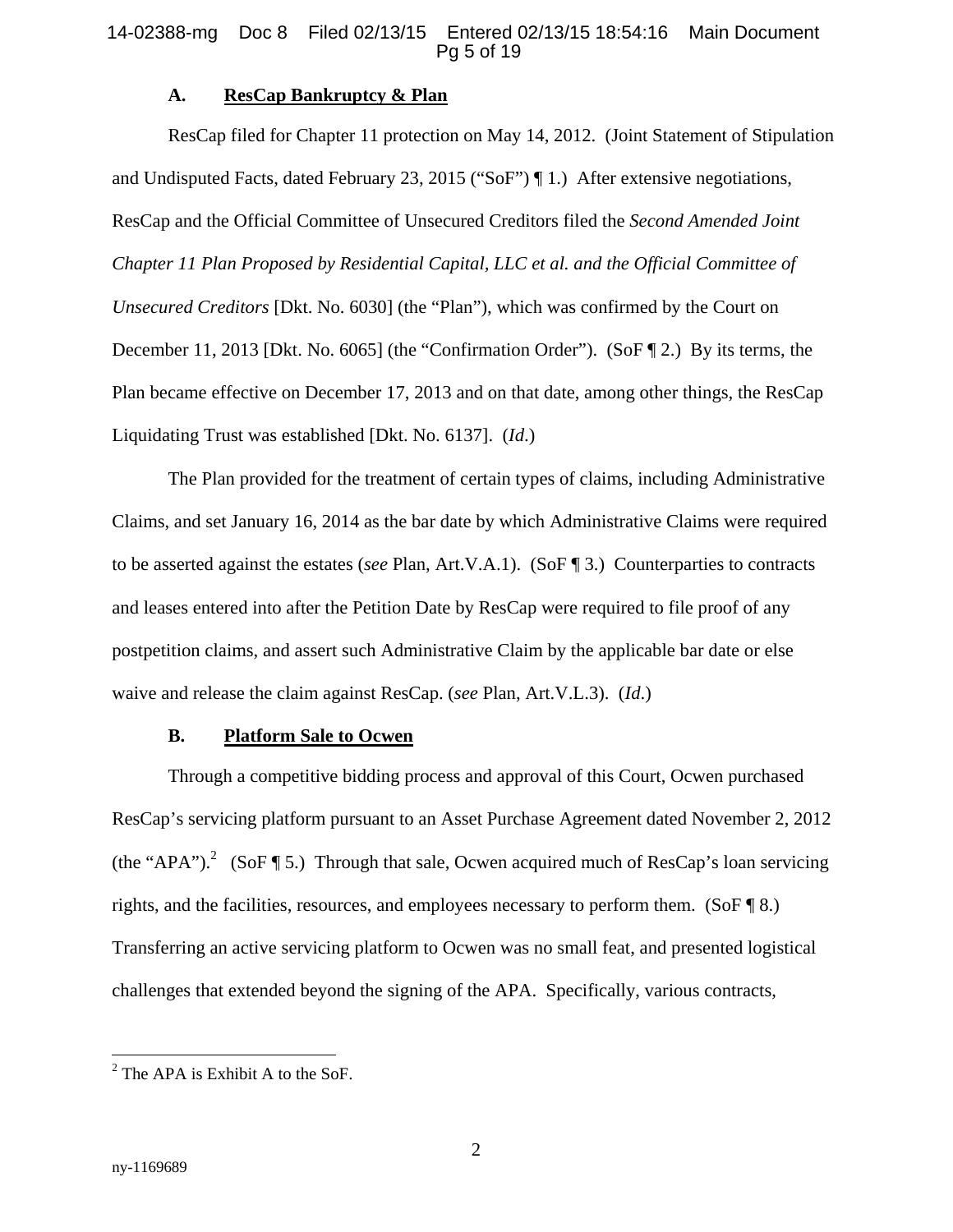#### 14-02388-mg Doc 8 Filed 02/13/15 Entered 02/13/15 18:54:16 Main Document Pg 5 of 19

## **A. ResCap Bankruptcy & Plan**

ResCap filed for Chapter 11 protection on May 14, 2012. (Joint Statement of Stipulation and Undisputed Facts, dated February 23, 2015 ("SoF") ¶ 1.) After extensive negotiations, ResCap and the Official Committee of Unsecured Creditors filed the *Second Amended Joint Chapter 11 Plan Proposed by Residential Capital, LLC et al. and the Official Committee of Unsecured Creditors* [Dkt. No. 6030] (the "Plan"), which was confirmed by the Court on December 11, 2013 [Dkt. No. 6065] (the "Confirmation Order"). (SoF ¶ 2.) By its terms, the Plan became effective on December 17, 2013 and on that date, among other things, the ResCap Liquidating Trust was established [Dkt. No. 6137]. (*Id*.)

The Plan provided for the treatment of certain types of claims, including Administrative Claims, and set January 16, 2014 as the bar date by which Administrative Claims were required to be asserted against the estates (*see* Plan, Art.V.A.1). (SoF ¶ 3.) Counterparties to contracts and leases entered into after the Petition Date by ResCap were required to file proof of any postpetition claims, and assert such Administrative Claim by the applicable bar date or else waive and release the claim against ResCap. (*see* Plan, Art.V.L.3). (*Id*.)

## **B. Platform Sale to Ocwen**

Through a competitive bidding process and approval of this Court, Ocwen purchased ResCap's servicing platform pursuant to an Asset Purchase Agreement dated November 2, 2012 (the "APA").<sup>2</sup> (SoF ¶ 5.) Through that sale, Ocwen acquired much of ResCap's loan servicing rights, and the facilities, resources, and employees necessary to perform them. (SoF ¶ 8.) Transferring an active servicing platform to Ocwen was no small feat, and presented logistical challenges that extended beyond the signing of the APA. Specifically, various contracts,

 $2^2$  The APA is Exhibit A to the SoF.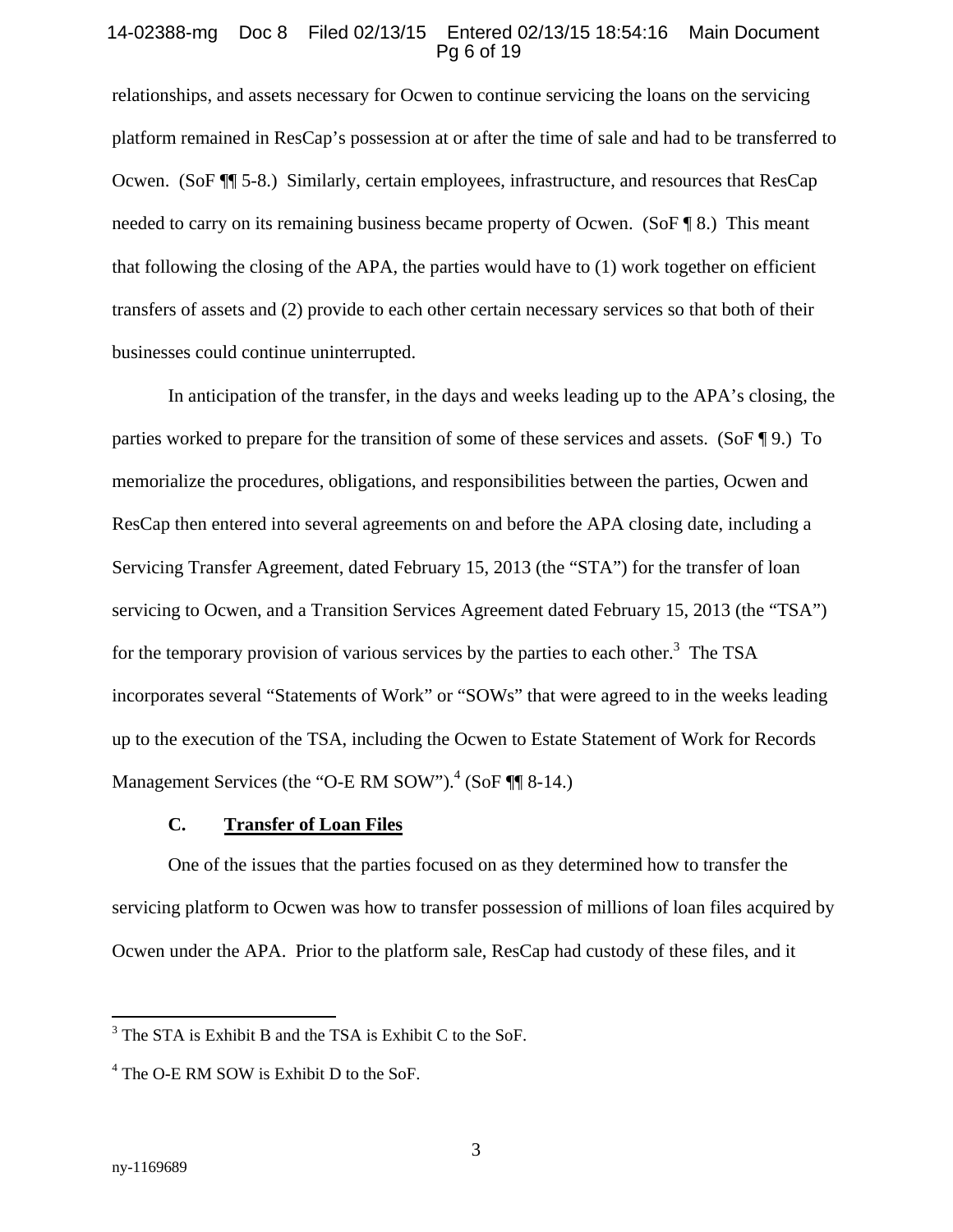#### 14-02388-mg Doc 8 Filed 02/13/15 Entered 02/13/15 18:54:16 Main Document Pg 6 of 19

relationships, and assets necessary for Ocwen to continue servicing the loans on the servicing platform remained in ResCap's possession at or after the time of sale and had to be transferred to Ocwen. (SoF ¶¶ 5-8.) Similarly, certain employees, infrastructure, and resources that ResCap needed to carry on its remaining business became property of Ocwen. (SoF ¶ 8.) This meant that following the closing of the APA, the parties would have to  $(1)$  work together on efficient transfers of assets and (2) provide to each other certain necessary services so that both of their businesses could continue uninterrupted.

In anticipation of the transfer, in the days and weeks leading up to the APA's closing, the parties worked to prepare for the transition of some of these services and assets. (SoF ¶ 9.) To memorialize the procedures, obligations, and responsibilities between the parties, Ocwen and ResCap then entered into several agreements on and before the APA closing date, including a Servicing Transfer Agreement, dated February 15, 2013 (the "STA") for the transfer of loan servicing to Ocwen, and a Transition Services Agreement dated February 15, 2013 (the "TSA") for the temporary provision of various services by the parties to each other.<sup>3</sup> The TSA incorporates several "Statements of Work" or "SOWs" that were agreed to in the weeks leading up to the execution of the TSA, including the Ocwen to Estate Statement of Work for Records Management Services (the "O-E RM SOW").<sup>4</sup> (SoF ¶ 8-14.)

## **C. Transfer of Loan Files**

One of the issues that the parties focused on as they determined how to transfer the servicing platform to Ocwen was how to transfer possession of millions of loan files acquired by Ocwen under the APA. Prior to the platform sale, ResCap had custody of these files, and it

<sup>&</sup>lt;sup>3</sup> The STA is Exhibit B and the TSA is Exhibit C to the SoF.

<sup>&</sup>lt;sup>4</sup> The O-E RM SOW is Exhibit D to the SoF.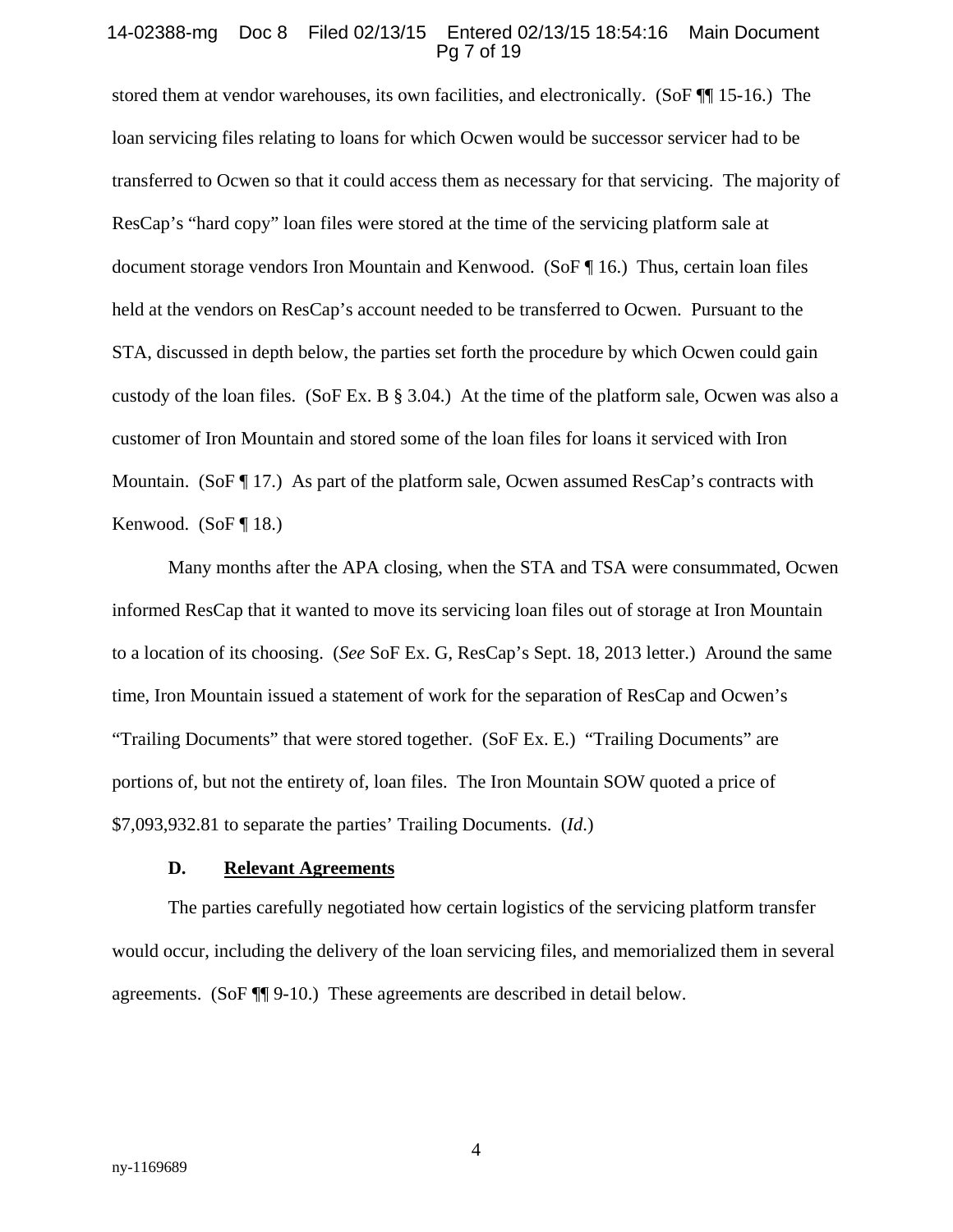#### 14-02388-mg Doc 8 Filed 02/13/15 Entered 02/13/15 18:54:16 Main Document Pg 7 of 19

stored them at vendor warehouses, its own facilities, and electronically. (SoF ¶¶ 15-16.) The loan servicing files relating to loans for which Ocwen would be successor servicer had to be transferred to Ocwen so that it could access them as necessary for that servicing. The majority of ResCap's "hard copy" loan files were stored at the time of the servicing platform sale at document storage vendors Iron Mountain and Kenwood. (SoF ¶ 16.) Thus, certain loan files held at the vendors on ResCap's account needed to be transferred to Ocwen. Pursuant to the STA, discussed in depth below, the parties set forth the procedure by which Ocwen could gain custody of the loan files. (SoF Ex. B § 3.04.) At the time of the platform sale, Ocwen was also a customer of Iron Mountain and stored some of the loan files for loans it serviced with Iron Mountain. (SoF ¶ 17.) As part of the platform sale, Ocwen assumed ResCap's contracts with Kenwood.  $(SoF \P 18.)$ 

Many months after the APA closing, when the STA and TSA were consummated, Ocwen informed ResCap that it wanted to move its servicing loan files out of storage at Iron Mountain to a location of its choosing. (*See* SoF Ex. G, ResCap's Sept. 18, 2013 letter.) Around the same time, Iron Mountain issued a statement of work for the separation of ResCap and Ocwen's "Trailing Documents" that were stored together. (SoF Ex. E.) "Trailing Documents" are portions of, but not the entirety of, loan files. The Iron Mountain SOW quoted a price of \$7,093,932.81 to separate the parties' Trailing Documents. (*Id*.)

## **D. Relevant Agreements**

The parties carefully negotiated how certain logistics of the servicing platform transfer would occur, including the delivery of the loan servicing files, and memorialized them in several agreements. (SoF ¶¶ 9-10.) These agreements are described in detail below.

4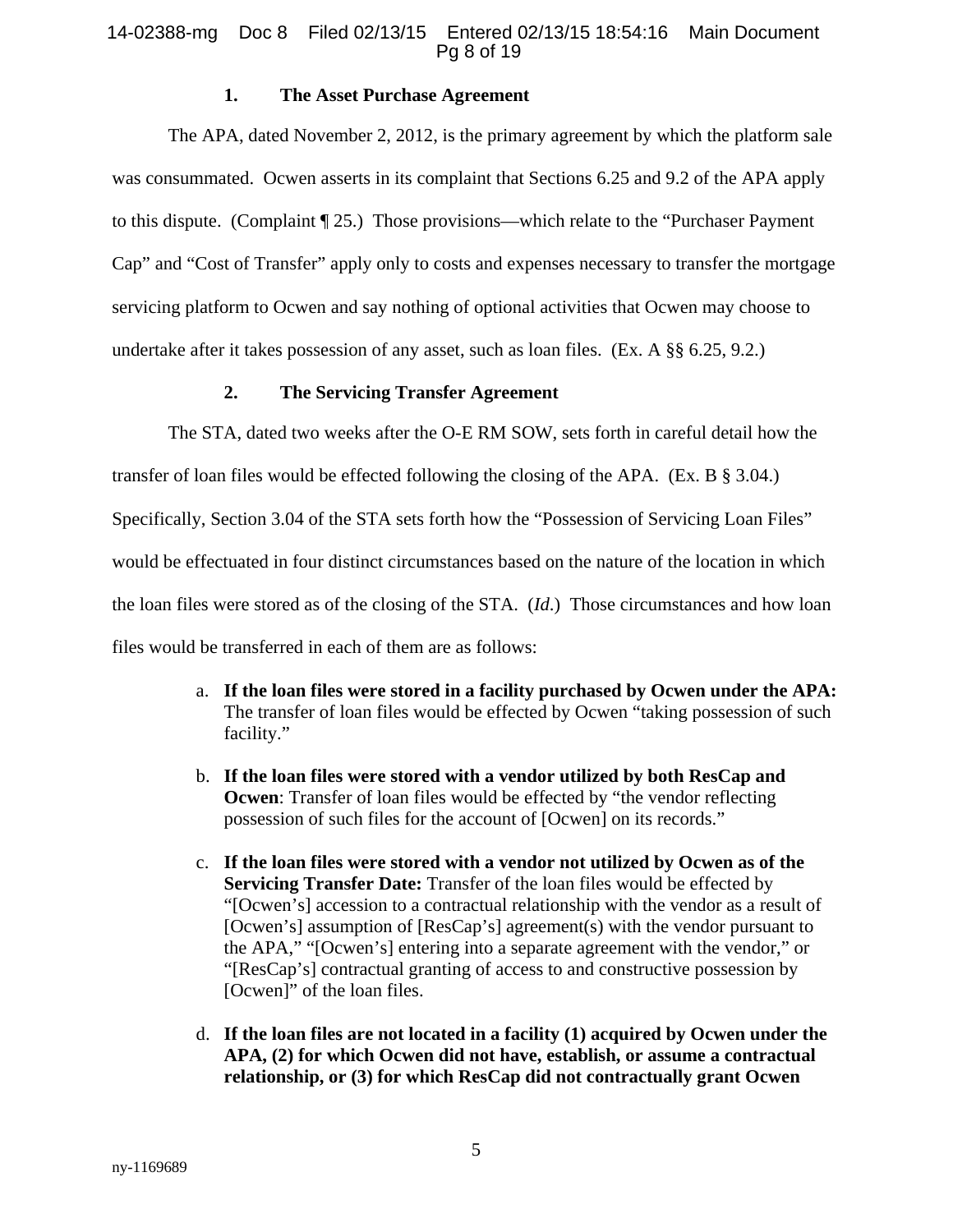## 14-02388-mg Doc 8 Filed 02/13/15 Entered 02/13/15 18:54:16 Main Document Pg 8 of 19

## **1. The Asset Purchase Agreement**

The APA, dated November 2, 2012, is the primary agreement by which the platform sale was consummated. Ocwen asserts in its complaint that Sections 6.25 and 9.2 of the APA apply to this dispute. (Complaint ¶ 25.) Those provisions—which relate to the "Purchaser Payment Cap" and "Cost of Transfer" apply only to costs and expenses necessary to transfer the mortgage servicing platform to Ocwen and say nothing of optional activities that Ocwen may choose to undertake after it takes possession of any asset, such as loan files. (Ex. A §§ 6.25, 9.2.)

## **2. The Servicing Transfer Agreement**

The STA, dated two weeks after the O-E RM SOW, sets forth in careful detail how the

transfer of loan files would be effected following the closing of the APA. (Ex. B § 3.04.)

Specifically, Section 3.04 of the STA sets forth how the "Possession of Servicing Loan Files"

would be effectuated in four distinct circumstances based on the nature of the location in which

the loan files were stored as of the closing of the STA. (*Id*.) Those circumstances and how loan

files would be transferred in each of them are as follows:

- a. **If the loan files were stored in a facility purchased by Ocwen under the APA:**  The transfer of loan files would be effected by Ocwen "taking possession of such facility."
- b. **If the loan files were stored with a vendor utilized by both ResCap and Ocwen:** Transfer of loan files would be effected by "the vendor reflecting possession of such files for the account of [Ocwen] on its records."
- c. **If the loan files were stored with a vendor not utilized by Ocwen as of the Servicing Transfer Date:** Transfer of the loan files would be effected by "[Ocwen's] accession to a contractual relationship with the vendor as a result of [Ocwen's] assumption of [ResCap's] agreement(s) with the vendor pursuant to the APA," "[Ocwen's] entering into a separate agreement with the vendor," or "[ResCap's] contractual granting of access to and constructive possession by [Ocwen]" of the loan files.
- d. **If the loan files are not located in a facility (1) acquired by Ocwen under the APA, (2) for which Ocwen did not have, establish, or assume a contractual relationship, or (3) for which ResCap did not contractually grant Ocwen**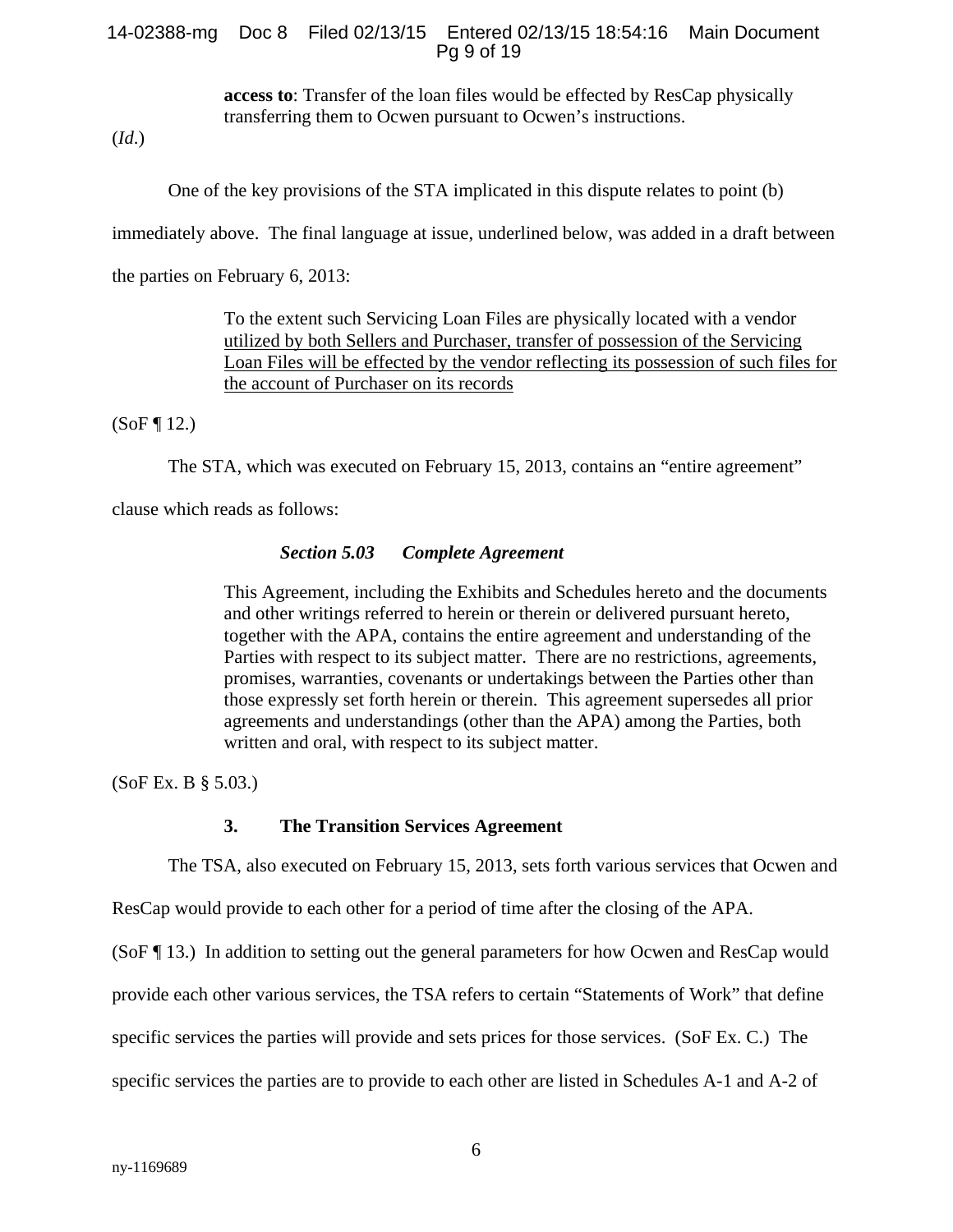#### 14-02388-mg Doc 8 Filed 02/13/15 Entered 02/13/15 18:54:16 Main Document Pg 9 of 19

**access to**: Transfer of the loan files would be effected by ResCap physically transferring them to Ocwen pursuant to Ocwen's instructions.

(*Id*.)

One of the key provisions of the STA implicated in this dispute relates to point (b)

immediately above. The final language at issue, underlined below, was added in a draft between

the parties on February 6, 2013:

To the extent such Servicing Loan Files are physically located with a vendor utilized by both Sellers and Purchaser, transfer of possession of the Servicing Loan Files will be effected by the vendor reflecting its possession of such files for the account of Purchaser on its records

 $(SoF \, \P \, 12.)$ 

The STA, which was executed on February 15, 2013, contains an "entire agreement"

clause which reads as follows:

#### *Section 5.03 Complete Agreement*

This Agreement, including the Exhibits and Schedules hereto and the documents and other writings referred to herein or therein or delivered pursuant hereto, together with the APA, contains the entire agreement and understanding of the Parties with respect to its subject matter. There are no restrictions, agreements, promises, warranties, covenants or undertakings between the Parties other than those expressly set forth herein or therein. This agreement supersedes all prior agreements and understandings (other than the APA) among the Parties, both written and oral, with respect to its subject matter.

(SoF Ex. B § 5.03.)

#### **3. The Transition Services Agreement**

The TSA, also executed on February 15, 2013, sets forth various services that Ocwen and

ResCap would provide to each other for a period of time after the closing of the APA.

(SoF ¶ 13.) In addition to setting out the general parameters for how Ocwen and ResCap would

provide each other various services, the TSA refers to certain "Statements of Work" that define

specific services the parties will provide and sets prices for those services. (SoF Ex. C.) The

specific services the parties are to provide to each other are listed in Schedules A-1 and A-2 of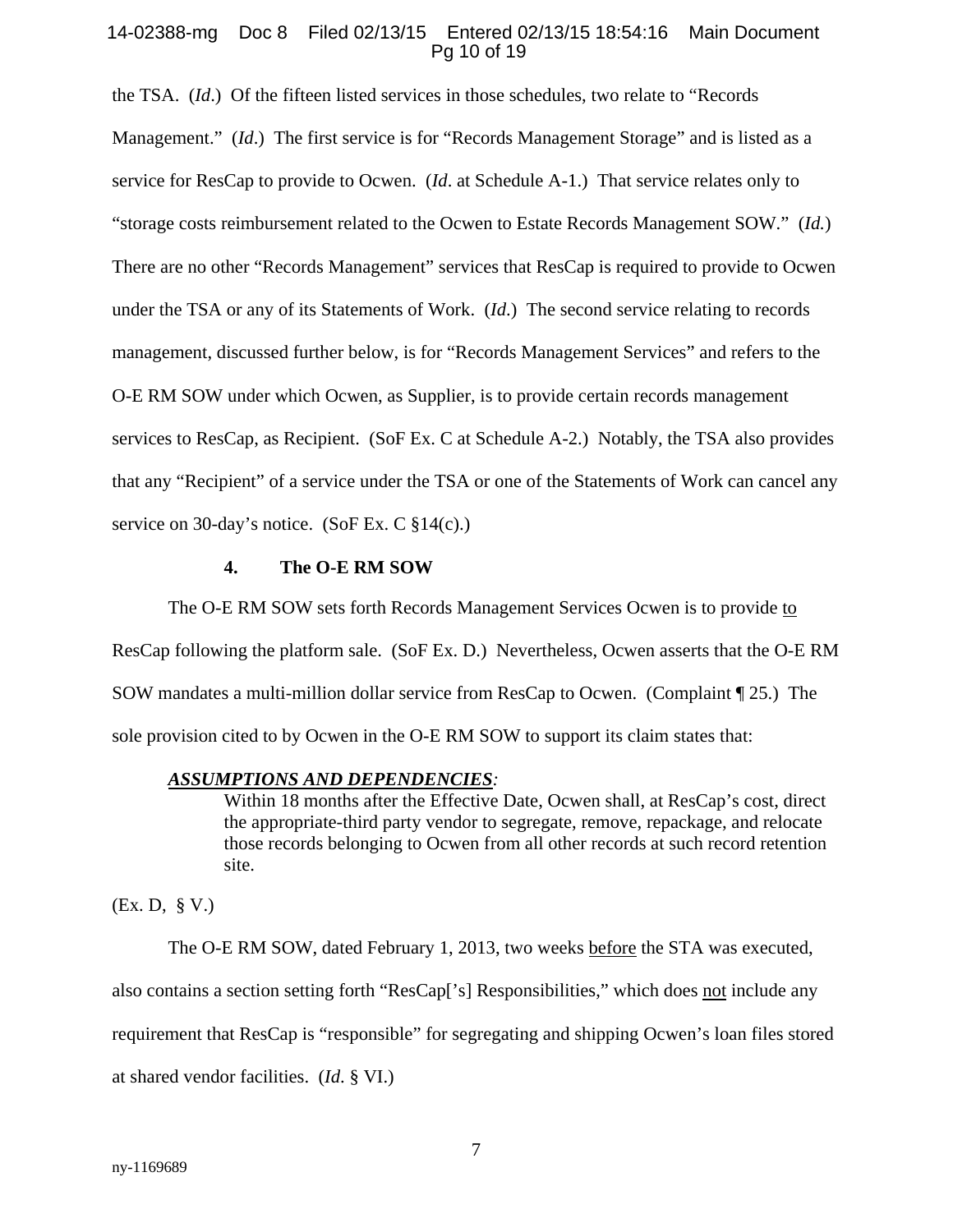#### 14-02388-mg Doc 8 Filed 02/13/15 Entered 02/13/15 18:54:16 Main Document Pg 10 of 19

the TSA. (*Id*.) Of the fifteen listed services in those schedules, two relate to "Records Management." *(Id.)* The first service is for "Records Management Storage" and is listed as a service for ResCap to provide to Ocwen. (*Id*. at Schedule A-1.) That service relates only to "storage costs reimbursement related to the Ocwen to Estate Records Management SOW." (*Id.*) There are no other "Records Management" services that ResCap is required to provide to Ocwen under the TSA or any of its Statements of Work. (*Id*.) The second service relating to records management, discussed further below, is for "Records Management Services" and refers to the O-E RM SOW under which Ocwen, as Supplier, is to provide certain records management services to ResCap, as Recipient. (SoF Ex. C at Schedule A-2.) Notably, the TSA also provides that any "Recipient" of a service under the TSA or one of the Statements of Work can cancel any service on 30-day's notice. (SoF Ex. C §14(c).)

### **4. The O-E RM SOW**

The O-E RM SOW sets forth Records Management Services Ocwen is to provide to ResCap following the platform sale. (SoF Ex. D.) Nevertheless, Ocwen asserts that the O-E RM SOW mandates a multi-million dollar service from ResCap to Ocwen. (Complaint ¶ 25.) The sole provision cited to by Ocwen in the O-E RM SOW to support its claim states that:

#### *ASSUMPTIONS AND DEPENDENCIES:*

Within 18 months after the Effective Date, Ocwen shall, at ResCap's cost, direct the appropriate-third party vendor to segregate, remove, repackage, and relocate those records belonging to Ocwen from all other records at such record retention site.

(Ex. D, § V.)

The O-E RM SOW, dated February 1, 2013, two weeks before the STA was executed, also contains a section setting forth "ResCap['s] Responsibilities," which does not include any requirement that ResCap is "responsible" for segregating and shipping Ocwen's loan files stored at shared vendor facilities. (*Id*. § VI.)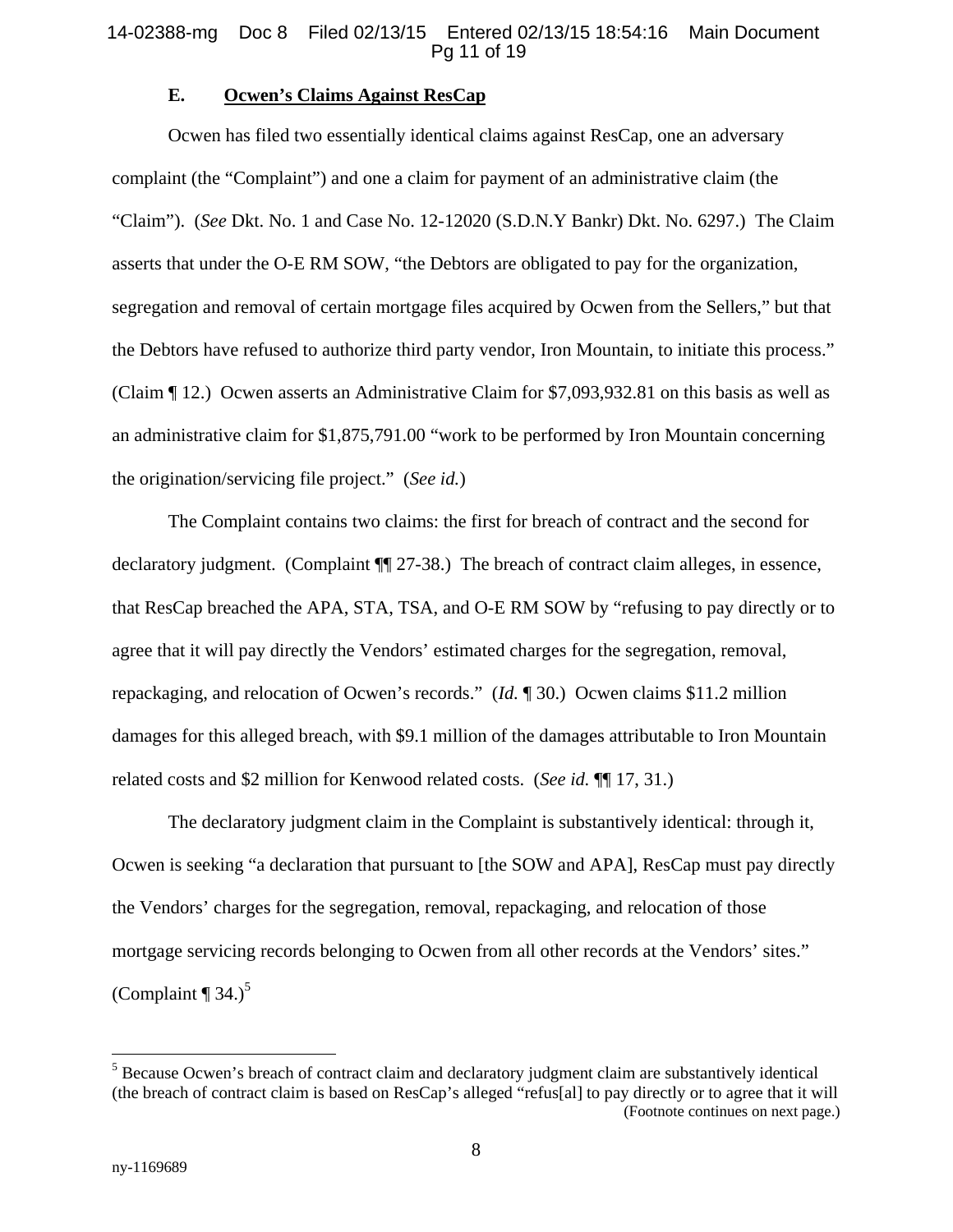#### **E. Ocwen's Claims Against ResCap**

Ocwen has filed two essentially identical claims against ResCap, one an adversary complaint (the "Complaint") and one a claim for payment of an administrative claim (the "Claim"). (*See* Dkt. No. 1 and Case No. 12-12020 (S.D.N.Y Bankr) Dkt. No. 6297.) The Claim asserts that under the O-E RM SOW, "the Debtors are obligated to pay for the organization, segregation and removal of certain mortgage files acquired by Ocwen from the Sellers," but that the Debtors have refused to authorize third party vendor, Iron Mountain, to initiate this process." (Claim ¶ 12.) Ocwen asserts an Administrative Claim for \$7,093,932.81 on this basis as well as an administrative claim for \$1,875,791.00 "work to be performed by Iron Mountain concerning the origination/servicing file project." (*See id.*)

The Complaint contains two claims: the first for breach of contract and the second for declaratory judgment. (Complaint  $\P$ [27-38.) The breach of contract claim alleges, in essence, that ResCap breached the APA, STA, TSA, and O-E RM SOW by "refusing to pay directly or to agree that it will pay directly the Vendors' estimated charges for the segregation, removal, repackaging, and relocation of Ocwen's records." (*Id.* ¶ 30.) Ocwen claims \$11.2 million damages for this alleged breach, with \$9.1 million of the damages attributable to Iron Mountain related costs and \$2 million for Kenwood related costs. (*See id.* ¶¶ 17, 31.)

The declaratory judgment claim in the Complaint is substantively identical: through it, Ocwen is seeking "a declaration that pursuant to [the SOW and APA], ResCap must pay directly the Vendors' charges for the segregation, removal, repackaging, and relocation of those mortgage servicing records belonging to Ocwen from all other records at the Vendors' sites." (Complaint  $\P$  34.)<sup>5</sup>

<sup>&</sup>lt;sup>5</sup> Because Ocwen's breach of contract claim and declaratory judgment claim are substantively identical (the breach of contract claim is based on ResCap's alleged "refus[al] to pay directly or to agree that it will (Footnote continues on next page.)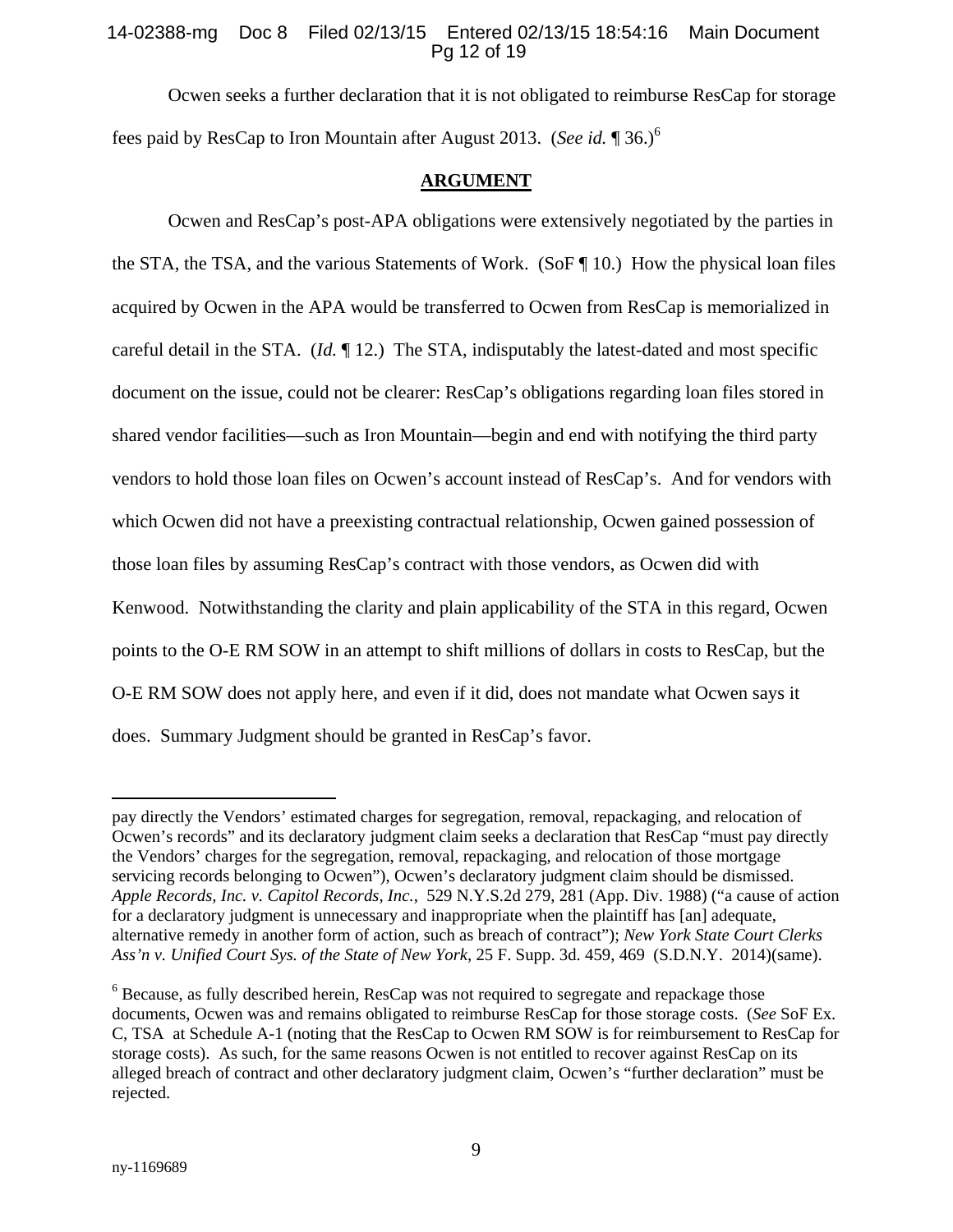## 14-02388-mg Doc 8 Filed 02/13/15 Entered 02/13/15 18:54:16 Main Document Pg 12 of 19

Ocwen seeks a further declaration that it is not obligated to reimburse ResCap for storage fees paid by ResCap to Iron Mountain after August 2013. (*See id.* ¶ 36.)6

#### **ARGUMENT**

Ocwen and ResCap's post-APA obligations were extensively negotiated by the parties in the STA, the TSA, and the various Statements of Work. (SoF ¶ 10.) How the physical loan files acquired by Ocwen in the APA would be transferred to Ocwen from ResCap is memorialized in careful detail in the STA. (*Id.* ¶ 12.) The STA, indisputably the latest-dated and most specific document on the issue, could not be clearer: ResCap's obligations regarding loan files stored in shared vendor facilities—such as Iron Mountain—begin and end with notifying the third party vendors to hold those loan files on Ocwen's account instead of ResCap's. And for vendors with which Ocwen did not have a preexisting contractual relationship, Ocwen gained possession of those loan files by assuming ResCap's contract with those vendors, as Ocwen did with Kenwood. Notwithstanding the clarity and plain applicability of the STA in this regard, Ocwen points to the O-E RM SOW in an attempt to shift millions of dollars in costs to ResCap, but the O-E RM SOW does not apply here, and even if it did, does not mandate what Ocwen says it does. Summary Judgment should be granted in ResCap's favor.

pay directly the Vendors' estimated charges for segregation, removal, repackaging, and relocation of Ocwen's records" and its declaratory judgment claim seeks a declaration that ResCap "must pay directly the Vendors' charges for the segregation, removal, repackaging, and relocation of those mortgage servicing records belonging to Ocwen"), Ocwen's declaratory judgment claim should be dismissed. *Apple Records, Inc. v. Capitol Records, Inc.*, 529 N.Y.S.2d 279, 281 (App. Div. 1988) ("a cause of action for a declaratory judgment is unnecessary and inappropriate when the plaintiff has [an] adequate, alternative remedy in another form of action, such as breach of contract"); *New York State Court Clerks Ass'n v. Unified Court Sys. of the State of New York*, 25 F. Supp. 3d. 459, 469 (S.D.N.Y. 2014)(same).

 $6$  Because, as fully described herein, ResCap was not required to segregate and repackage those documents, Ocwen was and remains obligated to reimburse ResCap for those storage costs. (*See* SoF Ex. C, TSA at Schedule A-1 (noting that the ResCap to Ocwen RM SOW is for reimbursement to ResCap for storage costs). As such, for the same reasons Ocwen is not entitled to recover against ResCap on its alleged breach of contract and other declaratory judgment claim, Ocwen's "further declaration" must be rejected.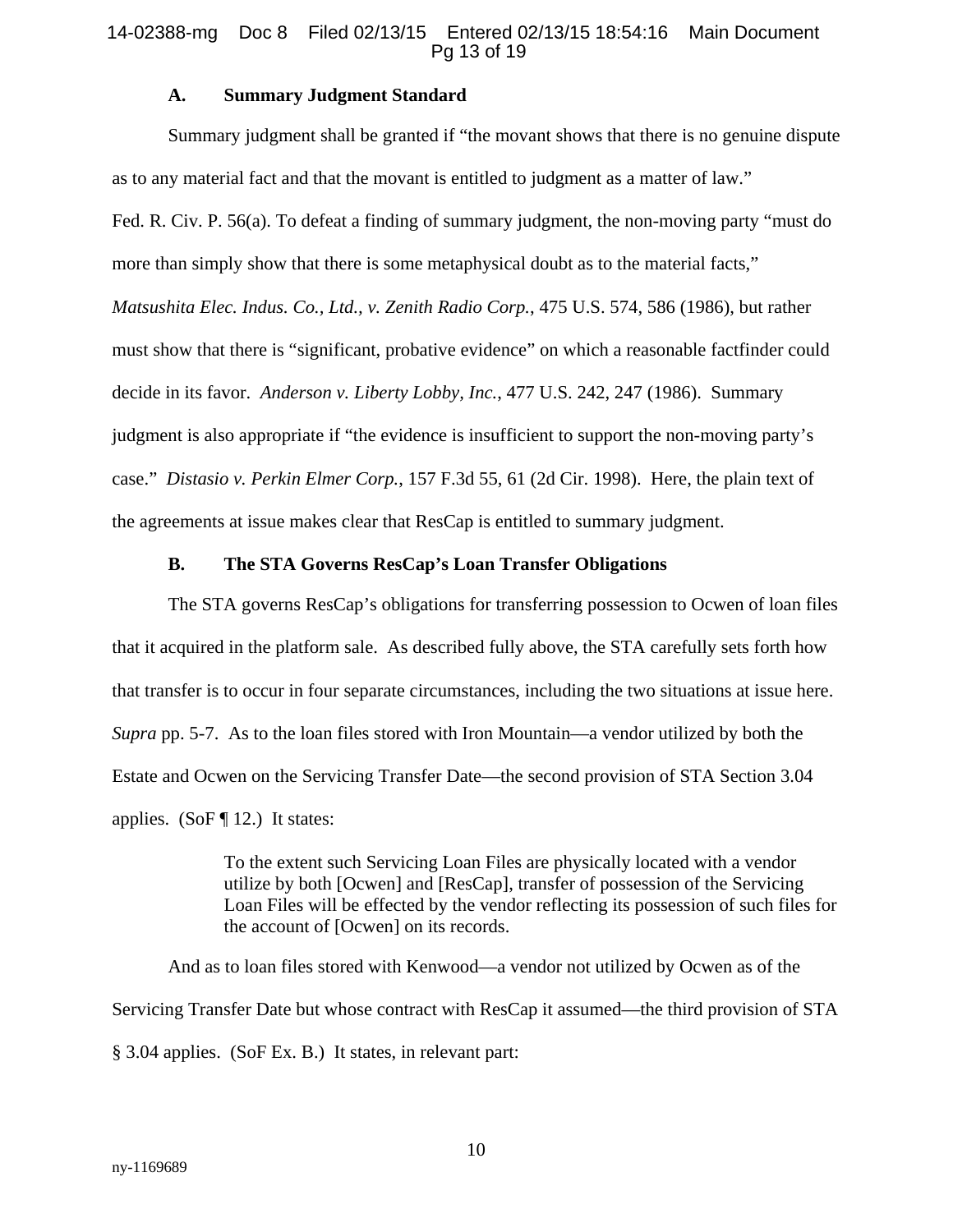#### 14-02388-mg Doc 8 Filed 02/13/15 Entered 02/13/15 18:54:16 Main Document Pg 13 of 19

## **A. Summary Judgment Standard**

Summary judgment shall be granted if "the movant shows that there is no genuine dispute as to any material fact and that the movant is entitled to judgment as a matter of law."

Fed. R. Civ. P. 56(a). To defeat a finding of summary judgment, the non-moving party "must do more than simply show that there is some metaphysical doubt as to the material facts," *Matsushita Elec. Indus. Co., Ltd., v. Zenith Radio Corp.*, 475 U.S. 574, 586 (1986), but rather must show that there is "significant, probative evidence" on which a reasonable factfinder could decide in its favor. *Anderson v. Liberty Lobby, Inc.*, 477 U.S. 242, 247 (1986). Summary judgment is also appropriate if "the evidence is insufficient to support the non-moving party's case." *Distasio v. Perkin Elmer Corp.*, 157 F.3d 55, 61 (2d Cir. 1998). Here, the plain text of the agreements at issue makes clear that ResCap is entitled to summary judgment.

## **B. The STA Governs ResCap's Loan Transfer Obligations**

The STA governs ResCap's obligations for transferring possession to Ocwen of loan files that it acquired in the platform sale. As described fully above, the STA carefully sets forth how that transfer is to occur in four separate circumstances, including the two situations at issue here. *Supra* pp. 5-7. As to the loan files stored with Iron Mountain—a vendor utilized by both the Estate and Ocwen on the Servicing Transfer Date—the second provision of STA Section 3.04 applies. (SoF  $\P$  12.) It states:

> To the extent such Servicing Loan Files are physically located with a vendor utilize by both [Ocwen] and [ResCap], transfer of possession of the Servicing Loan Files will be effected by the vendor reflecting its possession of such files for the account of [Ocwen] on its records.

And as to loan files stored with Kenwood—a vendor not utilized by Ocwen as of the Servicing Transfer Date but whose contract with ResCap it assumed—the third provision of STA § 3.04 applies. (SoF Ex. B.) It states, in relevant part: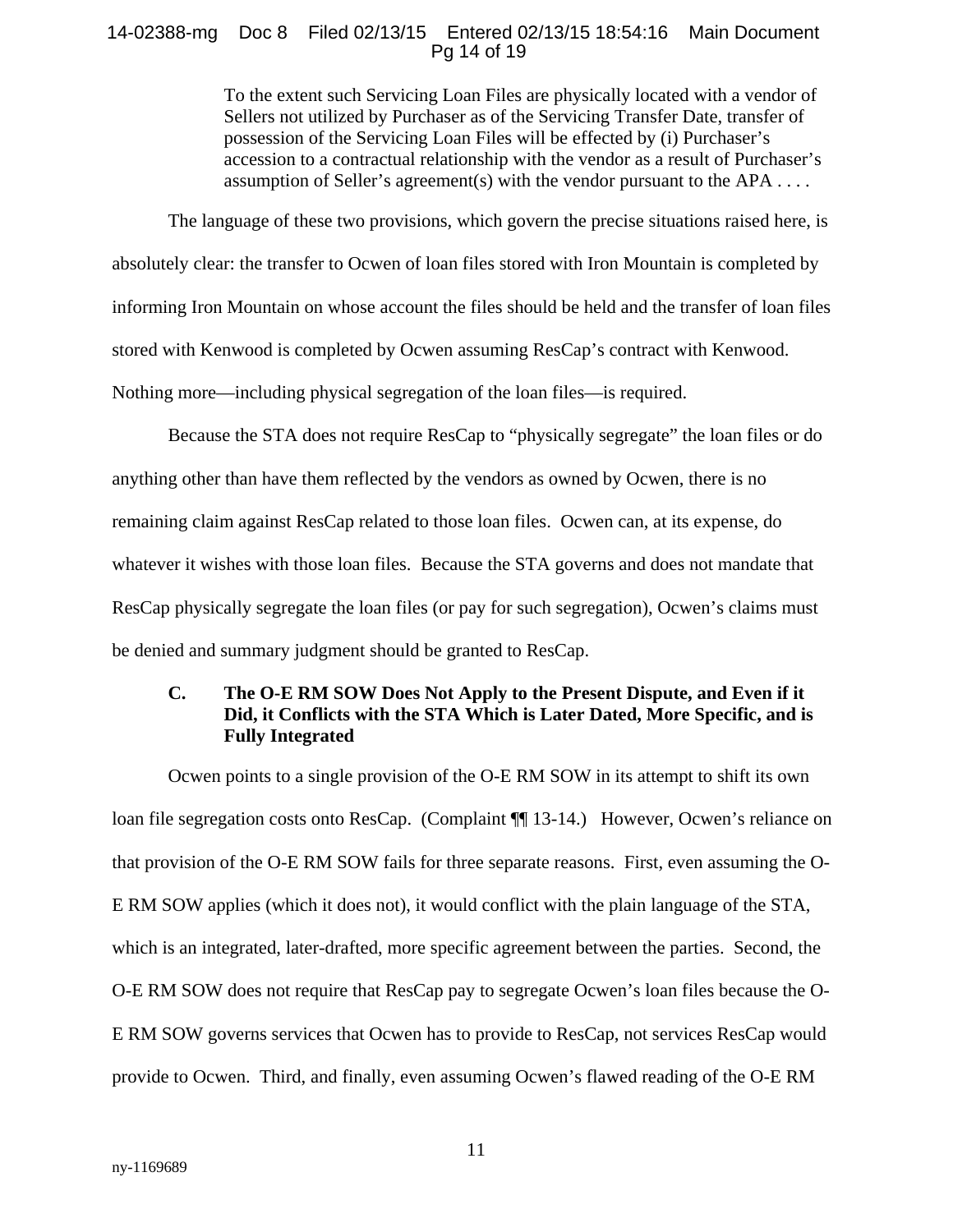## 14-02388-mg Doc 8 Filed 02/13/15 Entered 02/13/15 18:54:16 Main Document Pg 14 of 19

To the extent such Servicing Loan Files are physically located with a vendor of Sellers not utilized by Purchaser as of the Servicing Transfer Date, transfer of possession of the Servicing Loan Files will be effected by (i) Purchaser's accession to a contractual relationship with the vendor as a result of Purchaser's assumption of Seller's agreement(s) with the vendor pursuant to the APA  $\dots$ .

The language of these two provisions, which govern the precise situations raised here, is absolutely clear: the transfer to Ocwen of loan files stored with Iron Mountain is completed by informing Iron Mountain on whose account the files should be held and the transfer of loan files stored with Kenwood is completed by Ocwen assuming ResCap's contract with Kenwood. Nothing more—including physical segregation of the loan files—is required.

Because the STA does not require ResCap to "physically segregate" the loan files or do anything other than have them reflected by the vendors as owned by Ocwen, there is no remaining claim against ResCap related to those loan files. Ocwen can, at its expense, do whatever it wishes with those loan files. Because the STA governs and does not mandate that ResCap physically segregate the loan files (or pay for such segregation), Ocwen's claims must be denied and summary judgment should be granted to ResCap.

## **C. The O-E RM SOW Does Not Apply to the Present Dispute, and Even if it Did, it Conflicts with the STA Which is Later Dated, More Specific, and is Fully Integrated**

Ocwen points to a single provision of the O-E RM SOW in its attempt to shift its own loan file segregation costs onto ResCap. (Complaint ¶¶ 13-14.) However, Ocwen's reliance on that provision of the O-E RM SOW fails for three separate reasons. First, even assuming the O-E RM SOW applies (which it does not), it would conflict with the plain language of the STA, which is an integrated, later-drafted, more specific agreement between the parties. Second, the O-E RM SOW does not require that ResCap pay to segregate Ocwen's loan files because the O-E RM SOW governs services that Ocwen has to provide to ResCap, not services ResCap would provide to Ocwen. Third, and finally, even assuming Ocwen's flawed reading of the O-E RM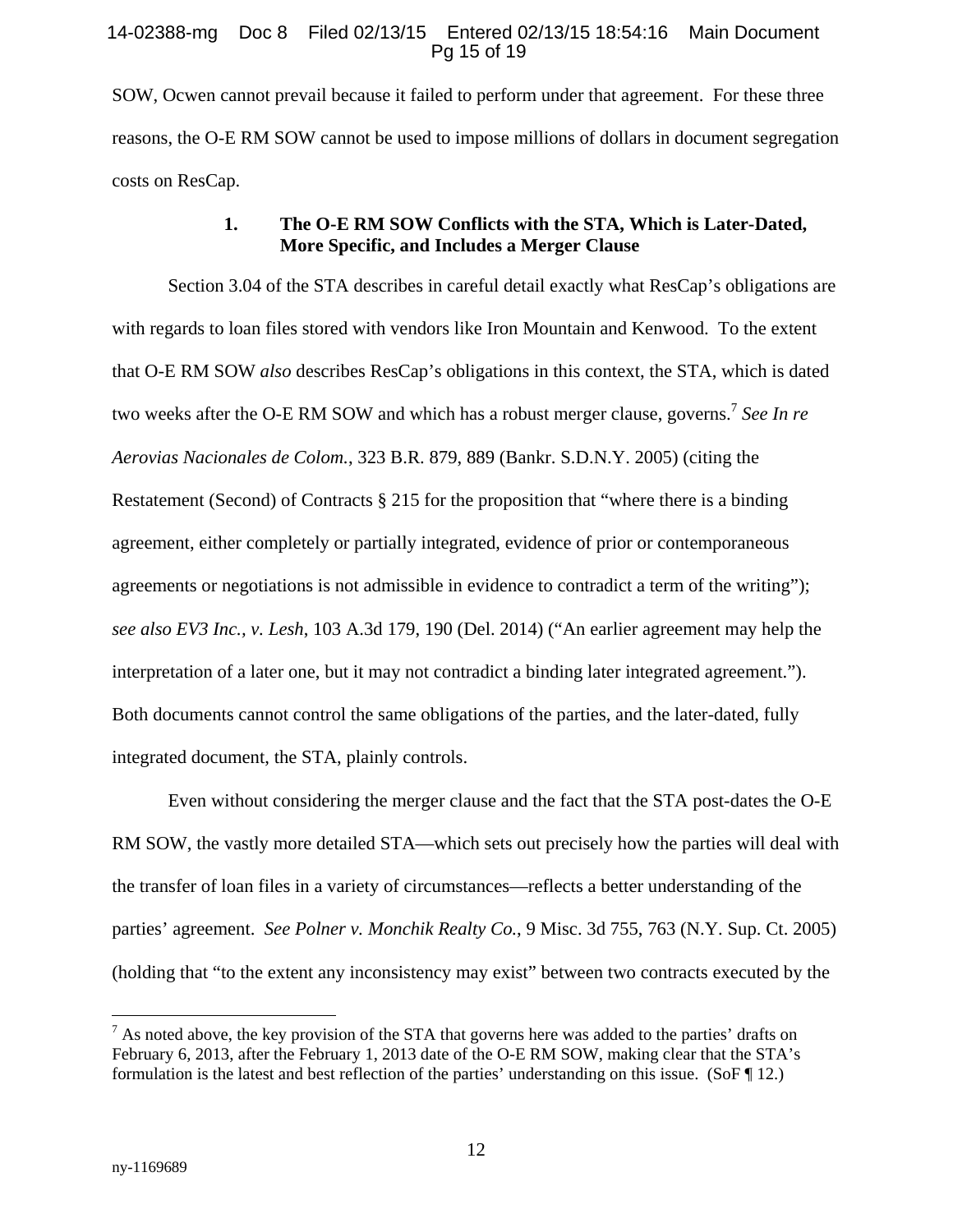### 14-02388-mg Doc 8 Filed 02/13/15 Entered 02/13/15 18:54:16 Main Document Pg 15 of 19

SOW, Ocwen cannot prevail because it failed to perform under that agreement. For these three reasons, the O-E RM SOW cannot be used to impose millions of dollars in document segregation costs on ResCap.

## **1. The O-E RM SOW Conflicts with the STA, Which is Later-Dated, More Specific, and Includes a Merger Clause**

Section 3.04 of the STA describes in careful detail exactly what ResCap's obligations are with regards to loan files stored with vendors like Iron Mountain and Kenwood. To the extent that O-E RM SOW *also* describes ResCap's obligations in this context, the STA, which is dated two weeks after the O-E RM SOW and which has a robust merger clause, governs.<sup>7</sup> See In re *Aerovias Nacionales de Colom.*, 323 B.R. 879, 889 (Bankr. S.D.N.Y. 2005) (citing the Restatement (Second) of Contracts  $\S 215$  for the proposition that "where there is a binding agreement, either completely or partially integrated, evidence of prior or contemporaneous agreements or negotiations is not admissible in evidence to contradict a term of the writing"); *see also EV3 Inc., v. Lesh*, 103 A.3d 179, 190 (Del. 2014) ("An earlier agreement may help the interpretation of a later one, but it may not contradict a binding later integrated agreement."). Both documents cannot control the same obligations of the parties, and the later-dated, fully integrated document, the STA, plainly controls.

Even without considering the merger clause and the fact that the STA post-dates the O-E RM SOW, the vastly more detailed STA—which sets out precisely how the parties will deal with the transfer of loan files in a variety of circumstances—reflects a better understanding of the parties' agreement. *See Polner v. Monchik Realty Co.*, 9 Misc. 3d 755, 763 (N.Y. Sup. Ct. 2005) (holding that "to the extent any inconsistency may exist" between two contracts executed by the

 $<sup>7</sup>$  As noted above, the key provision of the STA that governs here was added to the parties' drafts on</sup> February 6, 2013, after the February 1, 2013 date of the O-E RM SOW, making clear that the STA's formulation is the latest and best reflection of the parties' understanding on this issue. (SoF ¶ 12.)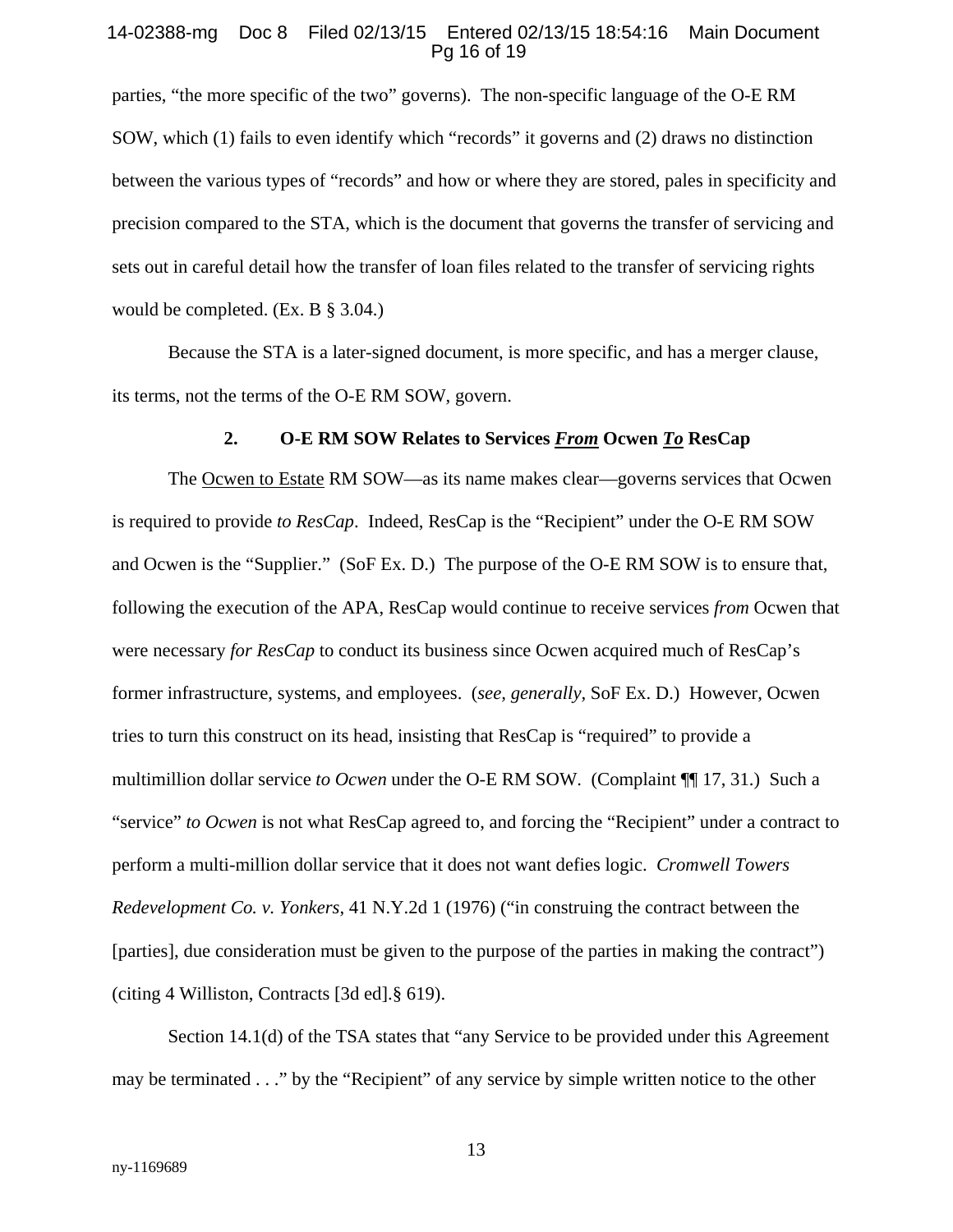#### 14-02388-mg Doc 8 Filed 02/13/15 Entered 02/13/15 18:54:16 Main Document Pg 16 of 19

parties, "the more specific of the two" governs). The non-specific language of the O-E RM SOW, which (1) fails to even identify which "records" it governs and (2) draws no distinction between the various types of "records" and how or where they are stored, pales in specificity and precision compared to the STA, which is the document that governs the transfer of servicing and sets out in careful detail how the transfer of loan files related to the transfer of servicing rights would be completed. (Ex. B § 3.04.)

Because the STA is a later-signed document, is more specific, and has a merger clause, its terms, not the terms of the O-E RM SOW, govern.

#### **2. O-E RM SOW Relates to Services** *From* **Ocwen** *To* **ResCap**

The Ocwen to Estate RM SOW—as its name makes clear—governs services that Ocwen is required to provide *to ResCap*. Indeed, ResCap is the "Recipient" under the O-E RM SOW and Ocwen is the "Supplier." (SoF Ex. D.) The purpose of the O-E RM SOW is to ensure that, following the execution of the APA, ResCap would continue to receive services *from* Ocwen that were necessary *for ResCap* to conduct its business since Ocwen acquired much of ResCap's former infrastructure, systems, and employees. (*see, generally,* SoF Ex. D.) However, Ocwen tries to turn this construct on its head, insisting that ResCap is "required" to provide a multimillion dollar service *to Ocwen* under the O-E RM SOW. (Complaint ¶[17, 31.) Such a "service" *to Ocwen* is not what ResCap agreed to, and forcing the "Recipient" under a contract to perform a multi-million dollar service that it does not want defies logic. *Cromwell Towers Redevelopment Co. v. Yonkers*, 41 N.Y.2d 1 (1976) ("in construing the contract between the [parties], due consideration must be given to the purpose of the parties in making the contract") (citing 4 Williston, Contracts [3d ed].§ 619).

Section 14.1(d) of the TSA states that "any Service to be provided under this Agreement may be terminated . . ." by the "Recipient" of any service by simple written notice to the other

13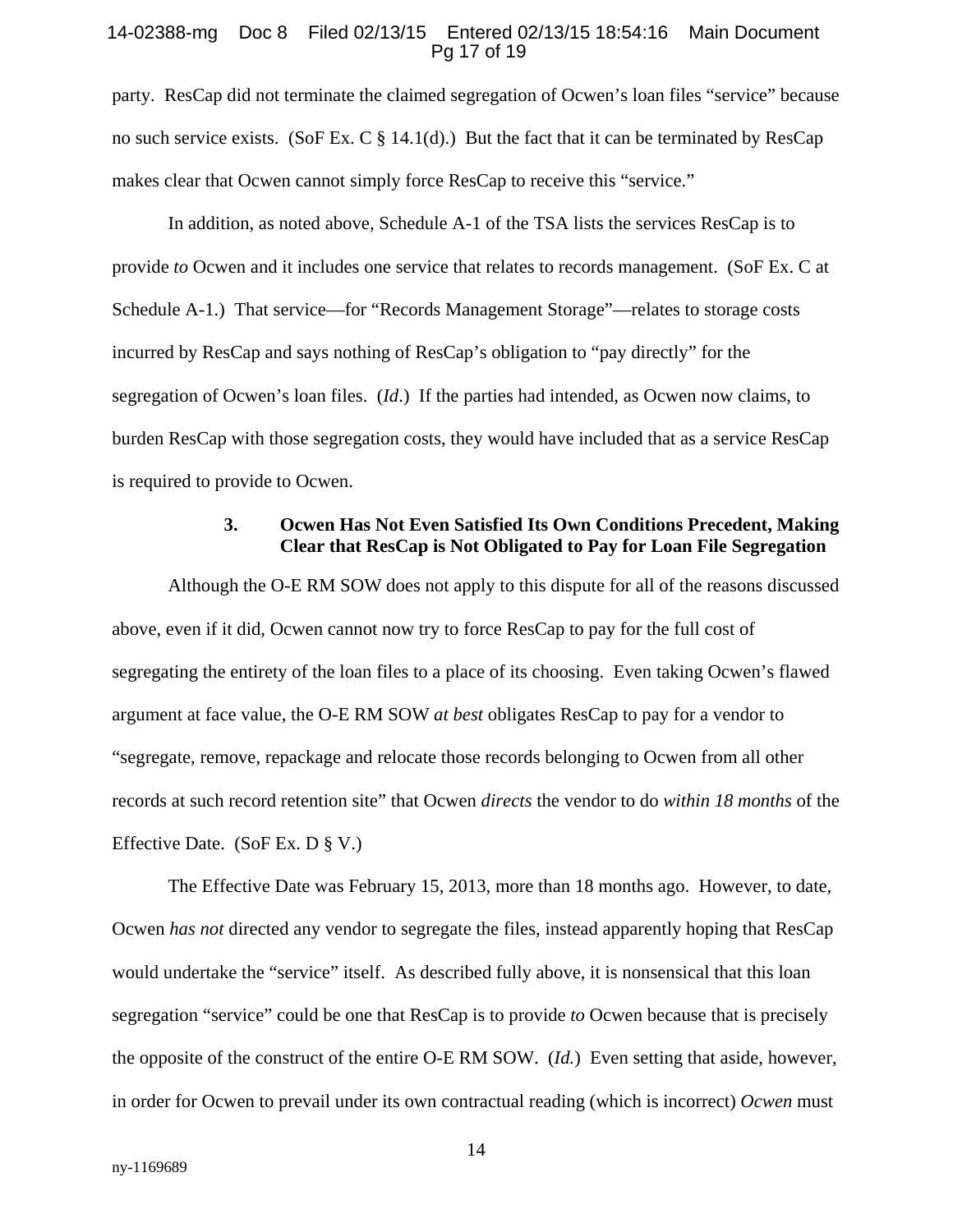#### 14-02388-mg Doc 8 Filed 02/13/15 Entered 02/13/15 18:54:16 Main Document Pg 17 of 19

party. ResCap did not terminate the claimed segregation of Ocwen's loan files "service" because no such service exists. (SoF Ex. C  $\S$  14.1(d).) But the fact that it can be terminated by ResCap makes clear that Ocwen cannot simply force ResCap to receive this "service."

In addition, as noted above, Schedule A-1 of the TSA lists the services ResCap is to provide *to* Ocwen and it includes one service that relates to records management. (SoF Ex. C at Schedule A-1.) That service—for "Records Management Storage"—relates to storage costs incurred by ResCap and says nothing of ResCap's obligation to "pay directly" for the segregation of Ocwen's loan files. (*Id*.) If the parties had intended, as Ocwen now claims, to burden ResCap with those segregation costs, they would have included that as a service ResCap is required to provide to Ocwen.

## **3. Ocwen Has Not Even Satisfied Its Own Conditions Precedent, Making Clear that ResCap is Not Obligated to Pay for Loan File Segregation**

Although the O-E RM SOW does not apply to this dispute for all of the reasons discussed above, even if it did, Ocwen cannot now try to force ResCap to pay for the full cost of segregating the entirety of the loan files to a place of its choosing. Even taking Ocwen's flawed argument at face value, the O-E RM SOW *at best* obligates ResCap to pay for a vendor to "segregate, remove, repackage and relocate those records belonging to Ocwen from all other records at such record retention site" that Ocwen *directs* the vendor to do *within 18 months* of the Effective Date. (SoF Ex. D § V.)

The Effective Date was February 15, 2013, more than 18 months ago. However, to date, Ocwen *has not* directed any vendor to segregate the files, instead apparently hoping that ResCap would undertake the "service" itself. As described fully above, it is nonsensical that this loan segregation "service" could be one that ResCap is to provide *to* Ocwen because that is precisely the opposite of the construct of the entire O-E RM SOW. (*Id.*) Even setting that aside, however, in order for Ocwen to prevail under its own contractual reading (which is incorrect) *Ocwen* must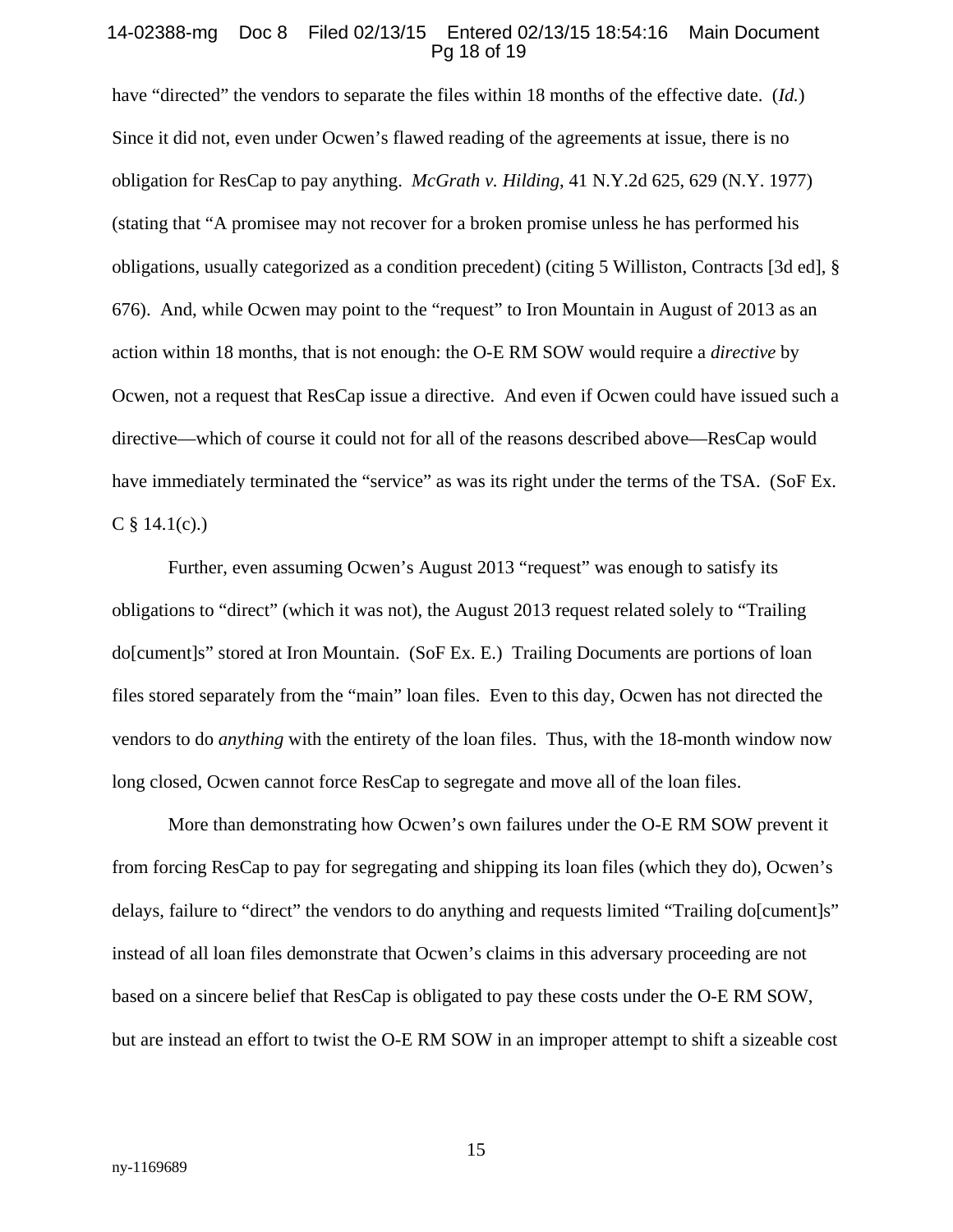#### 14-02388-mg Doc 8 Filed 02/13/15 Entered 02/13/15 18:54:16 Main Document Pg 18 of 19

have "directed" the vendors to separate the files within 18 months of the effective date. (*Id.*) Since it did not, even under Ocwen's flawed reading of the agreements at issue, there is no obligation for ResCap to pay anything. *McGrath v. Hilding*, 41 N.Y.2d 625, 629 (N.Y. 1977) (stating that "A promisee may not recover for a broken promise unless he has performed his obligations, usually categorized as a condition precedent) (citing 5 Williston, Contracts [3d ed], § 676). And, while Ocwen may point to the "request" to Iron Mountain in August of 2013 as an action within 18 months, that is not enough: the O-E RM SOW would require a *directive* by Ocwen, not a request that ResCap issue a directive. And even if Ocwen could have issued such a directive—which of course it could not for all of the reasons described above—ResCap would have immediately terminated the "service" as was its right under the terms of the TSA. (SoF Ex.  $C \$ § 14.1(c).)

Further, even assuming Ocwen's August 2013 "request" was enough to satisfy its obligations to "direct" (which it was not), the August 2013 request related solely to "Trailing do[cument]s" stored at Iron Mountain. (SoF Ex. E.) Trailing Documents are portions of loan files stored separately from the "main" loan files. Even to this day, Ocwen has not directed the vendors to do *anything* with the entirety of the loan files. Thus, with the 18-month window now long closed, Ocwen cannot force ResCap to segregate and move all of the loan files.

More than demonstrating how Ocwen's own failures under the O-E RM SOW prevent it from forcing ResCap to pay for segregating and shipping its loan files (which they do), Ocwen's delays, failure to "direct" the vendors to do anything and requests limited "Trailing do[cument]s" instead of all loan files demonstrate that Ocwen's claims in this adversary proceeding are not based on a sincere belief that ResCap is obligated to pay these costs under the O-E RM SOW, but are instead an effort to twist the O-E RM SOW in an improper attempt to shift a sizeable cost

15